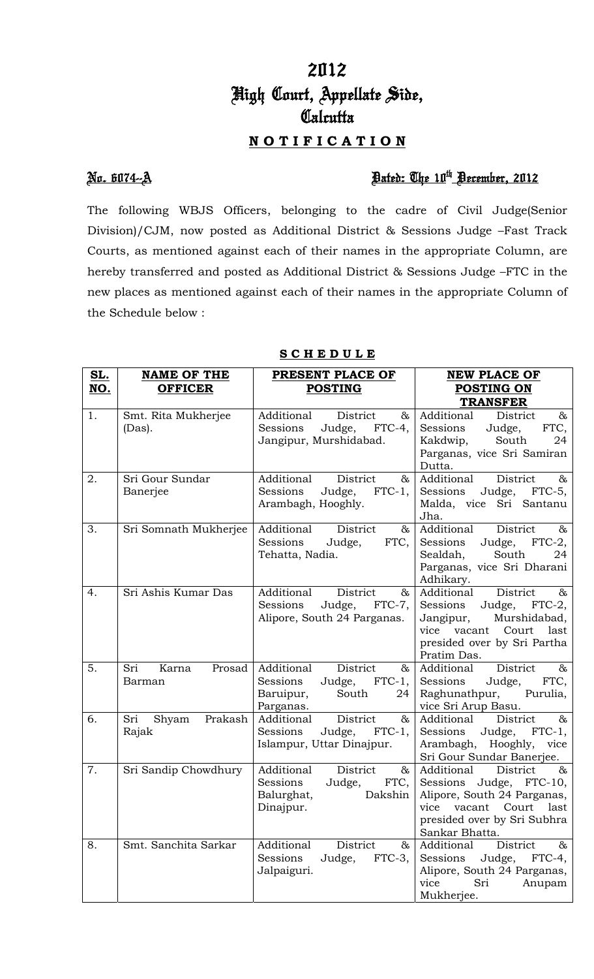# 2012 High Court, Appellate Side, **Calcutta**

## **N O T I F I C A T I O N**

### No. 6074--A Dated: The 10th December, 2012

The following WBJS Officers, belonging to the cadre of Civil Judge(Senior Division)/CJM, now posted as Additional District & Sessions Judge –Fast Track Courts, as mentioned against each of their names in the appropriate Column, are hereby transferred and posted as Additional District & Sessions Judge –FTC in the new places as mentioned against each of their names in the appropriate Column of the Schedule below :

| <u>SL.</u> | <b>NAME OF THE</b>               | PRESENT PLACE OF                                                                                   | <b>NEW PLACE OF</b>                                                                                                                                                    |
|------------|----------------------------------|----------------------------------------------------------------------------------------------------|------------------------------------------------------------------------------------------------------------------------------------------------------------------------|
| NO.        | <b>OFFICER</b>                   | <b>POSTING</b>                                                                                     | POSTING ON                                                                                                                                                             |
|            |                                  |                                                                                                    | <b>TRANSFER</b>                                                                                                                                                        |
| 1.         | Smt. Rita Mukherjee<br>(Das).    | Additional<br>District<br>&<br>Judge, FTC-4,<br>Sessions<br>Jangipur, Murshidabad.                 | Additional<br>District<br>&<br>Judge,<br>FTC,<br>Sessions<br>South<br>Kakdwip,<br>24<br>Parganas, vice Sri Samiran<br>Dutta.                                           |
| 2.         | Sri Gour Sundar<br>Banerjee      | Additional<br>District<br>$\&$<br>$FTC-1$ ,<br>Sessions<br>Judge,<br>Arambagh, Hooghly.            | Additional<br>District<br>$\&$<br>Judge, FTC-5,<br>Sessions<br>Malda, vice Sri Santanu<br>Jha.                                                                         |
| 3.         | Sri Somnath Mukherjee            | Additional<br>District<br>&<br>Sessions<br>Judge,<br>FTC,<br>Tehatta, Nadia.                       | Additional<br>District<br>$\&$<br>Judge, FTC-2,<br>Sessions<br>Sealdah,<br>South<br>24<br>Parganas, vice Sri Dharani<br>Adhikary.                                      |
| 4.         | Sri Ashis Kumar Das              | Additional<br>District<br>$\&$<br>Sessions<br>Judge, FTC-7,<br>Alipore, South 24 Parganas.         | District<br>$\&$<br>Additional<br>Sessions<br>Judge, FTC-2,<br>Jangipur,<br>Murshidabad,<br>vice vacant Court last<br>presided over by Sri Partha<br>Pratim Das.       |
| 5.         | Sri<br>Prosad<br>Karna<br>Barman | Additional<br>District<br>&<br>Judge, FTC-1,<br>Sessions<br>South<br>Baruipur,<br>24<br>Parganas.  | Additional<br>District<br>$\&$<br>Sessions<br>Judge,<br>FTC,<br>Raghunathpur, Purulia,<br>vice Sri Arup Basu.                                                          |
| 6.         | Sri<br>Prakash<br>Shyam<br>Rajak | $\&$<br>Additional<br>District<br>Sessions<br>Judge, FTC-1,<br>Islampur, Uttar Dinajpur.           | Additional<br>District<br>$\&$<br>Sessions<br>Judge, FTC-1,<br>Arambagh, Hooghly,<br>vice<br>Sri Gour Sundar Banerjee.                                                 |
| 7.         | Sri Sandip Chowdhury             | Additional<br>District<br>$\&$<br>Sessions<br>FTC,<br>Judge,<br>Dakshin<br>Balurghat,<br>Dinajpur. | Additional<br>District<br>$\&$<br>Sessions Judge, FTC-10,<br>Alipore, South 24 Parganas,<br>vacant Court last<br>vice<br>presided over by Sri Subhra<br>Sankar Bhatta. |
| 8.         | Smt. Sanchita Sarkar             | Additional<br>District<br>&<br>Sessions<br>$FTC-3$ ,<br>Judge,<br>Jalpaiguri.                      | Additional<br>District<br>$\&$<br>Sessions<br>Judge,<br>FTC-4,<br>Alipore, South 24 Parganas,<br>vice<br>Sri<br>Anupam<br>Mukherjee.                                   |

### **S C H E D U L E**